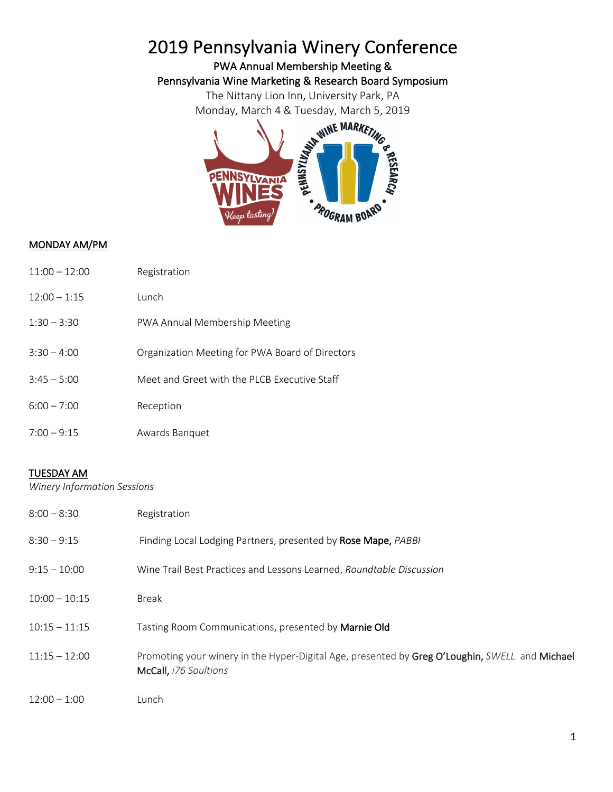## 2019 Pennsylvania Winery Conference<br>PWA Annual Membership Meeting &

The Nittany Lion Inn, University Park, PA Monday, March 4 & Tuesday, March 5, 2019



## MONDAY AM/PM

| 11:00 – 12:00 | Registration |
|---------------|--------------|
|---------------|--------------|

- 12:00 1:15 Lunch
- 1:30 3:30 PWA Annual Membership Meeting
- 3:30 4:00 Organization Meeting for PWA Board of Directors
- 3:45 5:00 Meet and Greet with the PLCB Executive Staff
- 6:00 7:00 Reception
- 7:00 9:15 Awards Banquet

## TUESDAY AM

*Winery Information Sessions*

| $8:00 - 8:30$   | Registration                                                                                                            |
|-----------------|-------------------------------------------------------------------------------------------------------------------------|
| $8:30 - 9:15$   | Finding Local Lodging Partners, presented by Rose Mape, PABBI                                                           |
| $9:15 - 10:00$  | Wine Trail Best Practices and Lessons Learned, Roundtable Discussion                                                    |
| $10:00 - 10:15$ | <b>Break</b>                                                                                                            |
| $10:15 - 11:15$ | Tasting Room Communications, presented by Marnie Old                                                                    |
| $11:15 - 12:00$ | Promoting your winery in the Hyper-Digital Age, presented by Greg O'Loughin, SWELL and Michael<br>McCall, i76 Soultions |
| $12:00 - 1:00$  | Lunch                                                                                                                   |